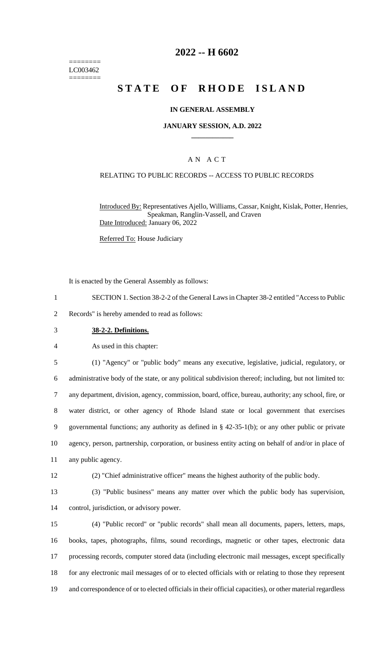======== LC003462 ========

# **2022 -- H 6602**

# **STATE OF RHODE ISLAND**

### **IN GENERAL ASSEMBLY**

### **JANUARY SESSION, A.D. 2022 \_\_\_\_\_\_\_\_\_\_\_\_**

### A N A C T

### RELATING TO PUBLIC RECORDS -- ACCESS TO PUBLIC RECORDS

Introduced By: Representatives Ajello, Williams, Cassar, Knight, Kislak, Potter, Henries, Speakman, Ranglin-Vassell, and Craven Date Introduced: January 06, 2022

Referred To: House Judiciary

It is enacted by the General Assembly as follows:

- 1 SECTION 1. Section 38-2-2 of the General Laws in Chapter 38-2 entitled "Access to Public
- 2 Records" is hereby amended to read as follows:
- 3 **38-2-2. Definitions.**

4 As used in this chapter:

 (1) "Agency" or "public body" means any executive, legislative, judicial, regulatory, or administrative body of the state, or any political subdivision thereof; including, but not limited to: any department, division, agency, commission, board, office, bureau, authority; any school, fire, or water district, or other agency of Rhode Island state or local government that exercises governmental functions; any authority as defined in § 42-35-1(b); or any other public or private agency, person, partnership, corporation, or business entity acting on behalf of and/or in place of any public agency.

- 12 (2) "Chief administrative officer" means the highest authority of the public body.
- 13 (3) "Public business" means any matter over which the public body has supervision,

14 control, jurisdiction, or advisory power.

 (4) "Public record" or "public records" shall mean all documents, papers, letters, maps, books, tapes, photographs, films, sound recordings, magnetic or other tapes, electronic data processing records, computer stored data (including electronic mail messages, except specifically for any electronic mail messages of or to elected officials with or relating to those they represent and correspondence of or to elected officials in their official capacities), or other material regardless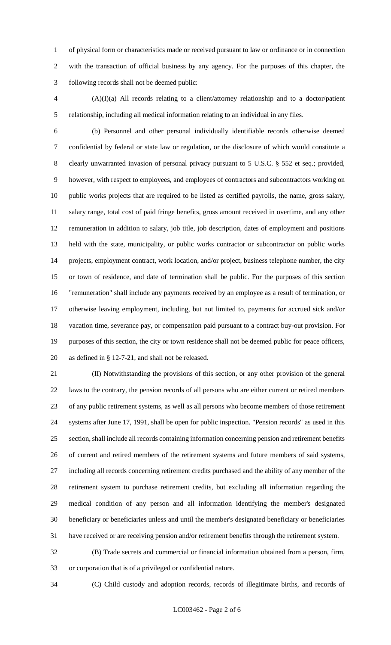of physical form or characteristics made or received pursuant to law or ordinance or in connection with the transaction of official business by any agency. For the purposes of this chapter, the following records shall not be deemed public:

 (A)(I)(a) All records relating to a client/attorney relationship and to a doctor/patient relationship, including all medical information relating to an individual in any files.

 (b) Personnel and other personal individually identifiable records otherwise deemed confidential by federal or state law or regulation, or the disclosure of which would constitute a clearly unwarranted invasion of personal privacy pursuant to 5 U.S.C. § 552 et seq.; provided, however, with respect to employees, and employees of contractors and subcontractors working on public works projects that are required to be listed as certified payrolls, the name, gross salary, salary range, total cost of paid fringe benefits, gross amount received in overtime, and any other remuneration in addition to salary, job title, job description, dates of employment and positions held with the state, municipality, or public works contractor or subcontractor on public works projects, employment contract, work location, and/or project, business telephone number, the city or town of residence, and date of termination shall be public. For the purposes of this section "remuneration" shall include any payments received by an employee as a result of termination, or otherwise leaving employment, including, but not limited to, payments for accrued sick and/or vacation time, severance pay, or compensation paid pursuant to a contract buy-out provision. For purposes of this section, the city or town residence shall not be deemed public for peace officers, as defined in § 12-7-21, and shall not be released.

 (II) Notwithstanding the provisions of this section, or any other provision of the general laws to the contrary, the pension records of all persons who are either current or retired members of any public retirement systems, as well as all persons who become members of those retirement systems after June 17, 1991, shall be open for public inspection. "Pension records" as used in this section, shall include all records containing information concerning pension and retirement benefits of current and retired members of the retirement systems and future members of said systems, including all records concerning retirement credits purchased and the ability of any member of the retirement system to purchase retirement credits, but excluding all information regarding the medical condition of any person and all information identifying the member's designated beneficiary or beneficiaries unless and until the member's designated beneficiary or beneficiaries have received or are receiving pension and/or retirement benefits through the retirement system.

 (B) Trade secrets and commercial or financial information obtained from a person, firm, or corporation that is of a privileged or confidential nature.

(C) Child custody and adoption records, records of illegitimate births, and records of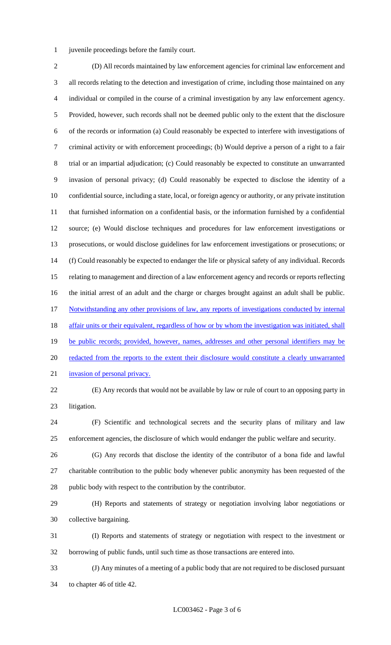juvenile proceedings before the family court.

 (D) All records maintained by law enforcement agencies for criminal law enforcement and all records relating to the detection and investigation of crime, including those maintained on any individual or compiled in the course of a criminal investigation by any law enforcement agency. Provided, however, such records shall not be deemed public only to the extent that the disclosure of the records or information (a) Could reasonably be expected to interfere with investigations of criminal activity or with enforcement proceedings; (b) Would deprive a person of a right to a fair trial or an impartial adjudication; (c) Could reasonably be expected to constitute an unwarranted invasion of personal privacy; (d) Could reasonably be expected to disclose the identity of a confidential source, including a state, local, or foreign agency or authority, or any private institution that furnished information on a confidential basis, or the information furnished by a confidential source; (e) Would disclose techniques and procedures for law enforcement investigations or prosecutions, or would disclose guidelines for law enforcement investigations or prosecutions; or (f) Could reasonably be expected to endanger the life or physical safety of any individual. Records relating to management and direction of a law enforcement agency and records or reports reflecting the initial arrest of an adult and the charge or charges brought against an adult shall be public. Notwithstanding any other provisions of law, any reports of investigations conducted by internal 18 affair units or their equivalent, regardless of how or by whom the investigation was initiated, shall 19 be public records; provided, however, names, addresses and other personal identifiers may be redacted from the reports to the extent their disclosure would constitute a clearly unwarranted invasion of personal privacy.

 (E) Any records that would not be available by law or rule of court to an opposing party in litigation.

 (F) Scientific and technological secrets and the security plans of military and law enforcement agencies, the disclosure of which would endanger the public welfare and security.

- (G) Any records that disclose the identity of the contributor of a bona fide and lawful charitable contribution to the public body whenever public anonymity has been requested of the public body with respect to the contribution by the contributor.
- (H) Reports and statements of strategy or negotiation involving labor negotiations or collective bargaining.
- (I) Reports and statements of strategy or negotiation with respect to the investment or borrowing of public funds, until such time as those transactions are entered into.
- (J) Any minutes of a meeting of a public body that are not required to be disclosed pursuant to chapter 46 of title 42.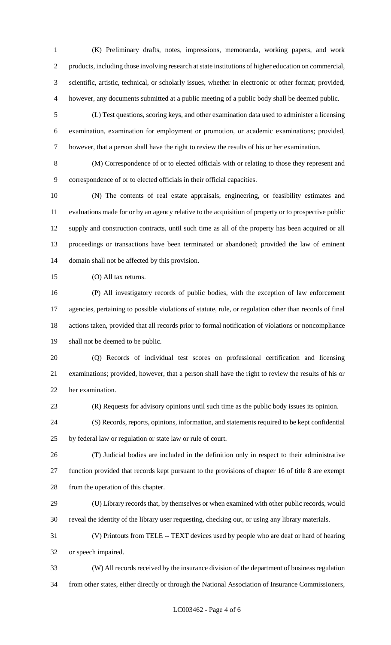(K) Preliminary drafts, notes, impressions, memoranda, working papers, and work products, including those involving research at state institutions of higher education on commercial, scientific, artistic, technical, or scholarly issues, whether in electronic or other format; provided, however, any documents submitted at a public meeting of a public body shall be deemed public.

 (L) Test questions, scoring keys, and other examination data used to administer a licensing examination, examination for employment or promotion, or academic examinations; provided, however, that a person shall have the right to review the results of his or her examination.

 (M) Correspondence of or to elected officials with or relating to those they represent and correspondence of or to elected officials in their official capacities.

 (N) The contents of real estate appraisals, engineering, or feasibility estimates and evaluations made for or by an agency relative to the acquisition of property or to prospective public supply and construction contracts, until such time as all of the property has been acquired or all proceedings or transactions have been terminated or abandoned; provided the law of eminent domain shall not be affected by this provision.

(O) All tax returns.

 (P) All investigatory records of public bodies, with the exception of law enforcement agencies, pertaining to possible violations of statute, rule, or regulation other than records of final actions taken, provided that all records prior to formal notification of violations or noncompliance shall not be deemed to be public.

 (Q) Records of individual test scores on professional certification and licensing examinations; provided, however, that a person shall have the right to review the results of his or her examination.

(R) Requests for advisory opinions until such time as the public body issues its opinion.

 (S) Records, reports, opinions, information, and statements required to be kept confidential by federal law or regulation or state law or rule of court.

 (T) Judicial bodies are included in the definition only in respect to their administrative function provided that records kept pursuant to the provisions of chapter 16 of title 8 are exempt from the operation of this chapter.

 (U) Library records that, by themselves or when examined with other public records, would reveal the identity of the library user requesting, checking out, or using any library materials.

 (V) Printouts from TELE -- TEXT devices used by people who are deaf or hard of hearing or speech impaired.

 (W) All records received by the insurance division of the department of business regulation from other states, either directly or through the National Association of Insurance Commissioners,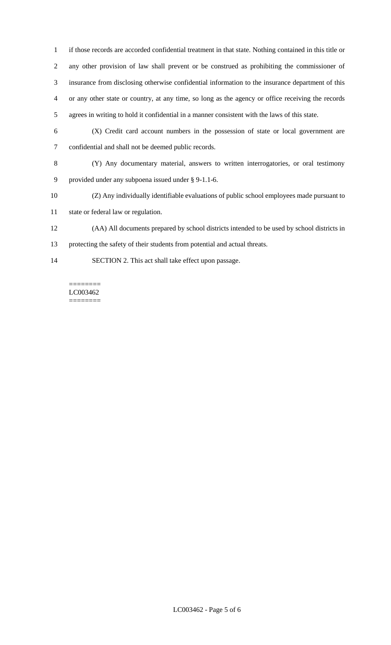if those records are accorded confidential treatment in that state. Nothing contained in this title or any other provision of law shall prevent or be construed as prohibiting the commissioner of insurance from disclosing otherwise confidential information to the insurance department of this or any other state or country, at any time, so long as the agency or office receiving the records agrees in writing to hold it confidential in a manner consistent with the laws of this state.

- (X) Credit card account numbers in the possession of state or local government are confidential and shall not be deemed public records.
- (Y) Any documentary material, answers to written interrogatories, or oral testimony provided under any subpoena issued under § 9-1.1-6.
- (Z) Any individually identifiable evaluations of public school employees made pursuant to
- state or federal law or regulation.
- (AA) All documents prepared by school districts intended to be used by school districts in
- protecting the safety of their students from potential and actual threats.
- SECTION 2. This act shall take effect upon passage.

#### ======== LC003462 ========